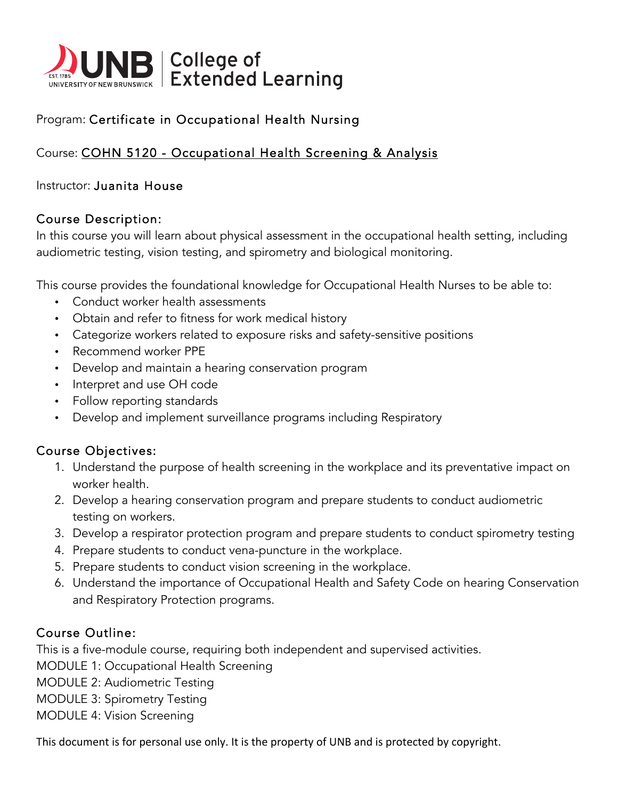

# Program: Certificate in Occupational Health Nursing

## Course: COHN 5120 - Occupational Health Screening & Analysis

#### Instructor: Juanita House

#### Course Description:

In this course you will learn about physical assessment in the occupational health setting, including audiometric testing, vision testing, and spirometry and biological monitoring.

This course provides the foundational knowledge for Occupational Health Nurses to be able to:

- Conduct worker health assessments
- Obtain and refer to fitness for work medical history
- Categorize workers related to exposure risks and safety-sensitive positions
- Recommend worker PPE
- Develop and maintain a hearing conservation program
- Interpret and use OH code
- Follow reporting standards
- Develop and implement surveillance programs including Respiratory

## Course Objectives:

- 1. Understand the purpose of health screening in the workplace and its preventative impact on worker health.
- 2. Develop a hearing conservation program and prepare students to conduct audiometric testing on workers.
- 3. Develop a respirator protection program and prepare students to conduct spirometry testing
- 4. Prepare students to conduct vena-puncture in the workplace.
- 5. Prepare students to conduct vision screening in the workplace.
- 6. Understand the importance of Occupational Health and Safety Code on hearing Conservation and Respiratory Protection programs.

## Course Outline:

This is a five-module course, requiring both independent and supervised activities.

MODULE 1: Occupational Health Screening

MODULE 2: Audiometric Testing

MODULE 3: Spirometry Testing

MODULE 4: Vision Screening

This document is for personal use only. It is the property of UNB and is protected by copyright.